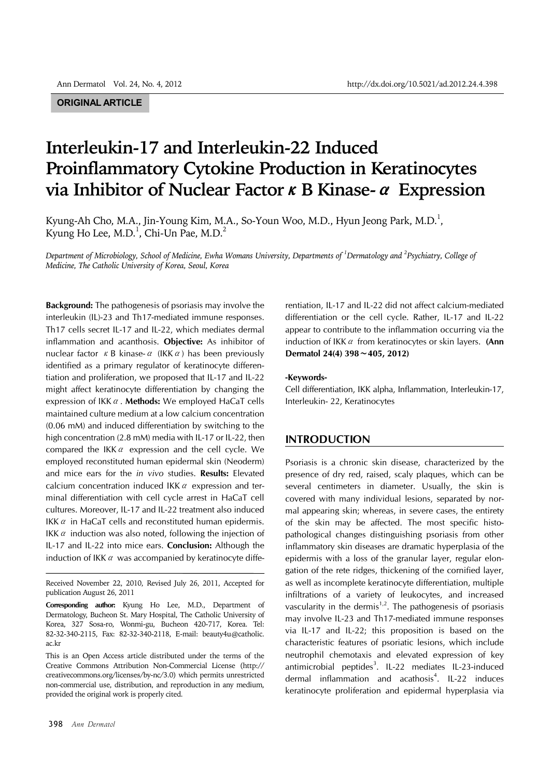# **ORIGINAL ARTICLE**

# **Interleukin-17 and Interleukin-22 Induced Proinflammatory Cytokine Production in Keratinocytes via Inhibitor of Nuclear Factor**κ**B Kinase-**α **Expression**

Kyung-Ah Cho, M.A., Jin-Young Kim, M.A., So-Youn Woo, M.D., Hyun Jeong Park, M.D. $^{\rm l}$ , Kyung Ho Lee, M.D.<sup>1</sup>, Chi-Un Pae, M.D.<sup>2</sup>

*Department of Microbiology, School of Medicine, Ewha Womans University, Departments of 1 Dermatology and 2 Psychiatry, College of Medicine, The Catholic University of Korea, Seoul, Korea*

**Background:** The pathogenesis of psoriasis may involve the interleukin (IL)-23 and Th17-mediated immune responses. Th17 cells secret IL-17 and IL-22, which mediates dermal inflammation and acanthosis. **Objective:** As inhibitor of nuclear factor  $\kappa$  B kinase- $\alpha$  (IKK  $\alpha$ ) has been previously identified as a primary regulator of keratinocyte differentiation and proliferation, we proposed that IL-17 and IL-22 might affect keratinocyte differentiation by changing the expression of IKKα. **Methods:** We employed HaCaT cells maintained culture medium at a low calcium concentration (0.06 mM) and induced differentiation by switching to the high concentration (2.8 mM) media with IL-17 or IL-22, then compared the IKK $\alpha$  expression and the cell cycle. We employed reconstituted human epidermal skin (Neoderm) and mice ears for the *in vivo* studies. **Results:** Elevated calcium concentration induced IKK $\alpha$  expression and terminal differentiation with cell cycle arrest in HaCaT cell cultures. Moreover, IL-17 and IL-22 treatment also induced IKK $\alpha$  in HaCaT cells and reconstituted human epidermis. IKK  $\alpha$  induction was also noted, following the injection of IL-17 and IL-22 into mice ears. **Conclusion:** Although the induction of IKK  $\alpha$  was accompanied by keratinocyte diffe-

This is an Open Access article distributed under the terms of the Creative Commons Attribution Non-Commercial License (http:// creativecommons.org/licenses/by-nc/3.0) which permits unrestricted non-commercial use, distribution, and reproduction in any medium, provided the original work is properly cited.

rentiation, IL-17 and IL-22 did not affect calcium-mediated differentiation or the cell cycle. Rather, IL-17 and IL-22 appear to contribute to the inflammation occurring via the induction of IKKα from keratinocytes or skin layers. **(Ann Dermatol 24(4) 398**∼**405, 2012)**

#### **-Keywords-**

Cell differentiation, IKK alpha, Inflammation, Interleukin-17, Interleukin- 22, Keratinocytes

# **INTRODUCTION**

Psoriasis is a chronic skin disease, characterized by the presence of dry red, raised, scaly plaques, which can be several centimeters in diameter. Usually, the skin is covered with many individual lesions, separated by normal appearing skin; whereas, in severe cases, the entirety of the skin may be affected. The most specific histopathological changes distinguishing psoriasis from other inflammatory skin diseases are dramatic hyperplasia of the epidermis with a loss of the granular layer, regular elongation of the rete ridges, thickening of the cornified layer, as well as incomplete keratinocyte differentiation, multiple infiltrations of a variety of leukocytes, and increased vascularity in the dermis<sup> $1,2$ </sup>. The pathogenesis of psoriasis may involve IL-23 and Th17-mediated immune responses via IL-17 and IL-22; this proposition is based on the characteristic features of psoriatic lesions, which include neutrophil chemotaxis and elevated expression of key antimicrobial peptides<sup>3</sup>. IL-22 mediates IL-23-induced dermal inflammation and acathosis<sup>4</sup>. IL-22 induces keratinocyte proliferation and epidermal hyperplasia via

Received November 22, 2010, Revised July 26, 2011, Accepted for publication August 26, 2011

**Corresponding author:** Kyung Ho Lee, M.D., Department of Dermatology, Bucheon St. Mary Hospital, The Catholic University of Korea, 327 Sosa-ro, Wonmi-gu, Bucheon 420-717, Korea. Tel: 82-32-340-2115, Fax: 82-32-340-2118, E-mail: beauty4u@catholic. ac.kr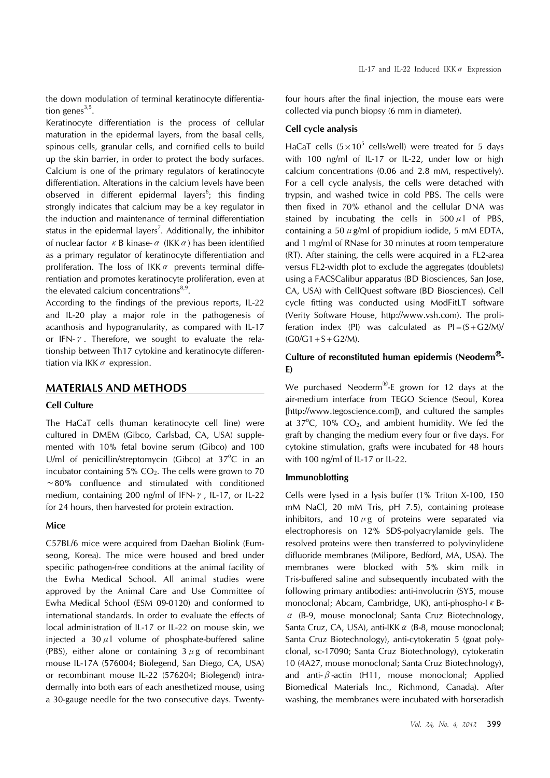the down modulation of terminal keratinocyte differentiation genes $3,5$ .

Keratinocyte differentiation is the process of cellular maturation in the epidermal layers, from the basal cells, spinous cells, granular cells, and cornified cells to build up the skin barrier, in order to protect the body surfaces. Calcium is one of the primary regulators of keratinocyte differentiation. Alterations in the calcium levels have been observed in different epidermal layers<sup>6</sup>; this finding strongly indicates that calcium may be a key regulator in the induction and maintenance of terminal differentiation status in the epidermal layers<sup>7</sup>. Additionally, the inhibitor of nuclear factor  $\kappa$  B kinase- $\alpha$  (IKK  $\alpha$ ) has been identified as a primary regulator of keratinocyte differentiation and proliferation. The loss of IKK $\alpha$  prevents terminal differentiation and promotes keratinocyte proliferation, even at the elevated calcium concentrations<sup>8,9</sup>.

According to the findings of the previous reports, IL-22 and IL-20 play a major role in the pathogenesis of acanthosis and hypogranularity, as compared with IL-17 or IFN- $\gamma$ . Therefore, we sought to evaluate the relationship between Th17 cytokine and keratinocyte differentiation via IKK  $\alpha$  expression.

## **MATERIALS AND METHODS**

### **Cell Culture**

The HaCaT cells (human keratinocyte cell line) were cultured in DMEM (Gibco, Carlsbad, CA, USA) supplemented with 10% fetal bovine serum (Gibco) and 100 U/ml of penicillin/streptomycin (Gibco) at  $37^{\circ}$ C in an incubator containing  $5\%$  CO<sub>2</sub>. The cells were grown to 70 ∼80% confluence and stimulated with conditioned medium, containing 200 ng/ml of IFN- $\gamma$ , IL-17, or IL-22 for 24 hours, then harvested for protein extraction.

## **Mice**

C57BL/6 mice were acquired from Daehan Biolink (Eumseong, Korea). The mice were housed and bred under specific pathogen-free conditions at the animal facility of the Ewha Medical School. All animal studies were approved by the Animal Care and Use Committee of Ewha Medical School (ESM 09-0120) and conformed to international standards. In order to evaluate the effects of local administration of IL-17 or IL-22 on mouse skin, we injected a 30 $\mu$ l volume of phosphate-buffered saline (PBS), either alone or containing  $3 \mu$ g of recombinant mouse IL-17A (576004; Biolegend, San Diego, CA, USA) or recombinant mouse IL-22 (576204; Biolegend) intradermally into both ears of each anesthetized mouse, using a 30-gauge needle for the two consecutive days. Twentyfour hours after the final injection, the mouse ears were collected via punch biopsy (6 mm in diameter).

# **Cell cycle analysis**

HaCaT cells  $(5 \times 10^5 \text{ cells/well})$  were treated for 5 days with 100 ng/ml of IL-17 or IL-22, under low or high calcium concentrations (0.06 and 2.8 mM, respectively). For a cell cycle analysis, the cells were detached with trypsin, and washed twice in cold PBS. The cells were then fixed in 70% ethanol and the cellular DNA was stained by incubating the cells in  $500 \mu$  of PBS. containing a 50  $\mu$  g/ml of propidium iodide, 5 mM EDTA, and 1 mg/ml of RNase for 30 minutes at room temperature (RT). After staining, the cells were acquired in a FL2-area versus FL2-width plot to exclude the aggregates (doublets) using a FACSCalibur apparatus (BD Biosciences, San Jose, CA, USA) with CellQuest software (BD Biosciences). Cell cycle fitting was conducted using ModFitLT software (Verity Software House, http://www.vsh.com). The proliferation index (PI) was calculated as  $PI = (S + G2/M)/$  $(GO/G1 + S + G2/M)$ .

# **Culture of reconstituted human epidermis (Neoderm**Ⓡ**- E)**

We purchased Neoderm<sup>®</sup>-E grown for 12 days at the air-medium interface from TEGO Science (Seoul, Korea [http://www.tegoscience.com]), and cultured the samples at  $37^{\circ}$ C,  $10\%$  CO<sub>2</sub>, and ambient humidity. We fed the graft by changing the medium every four or five days. For cytokine stimulation, grafts were incubated for 48 hours with 100 ng/ml of IL-17 or IL-22.

#### **Immunoblotting**

Cells were lysed in a lysis buffer (1% Triton X-100, 150 mM NaCl, 20 mM Tris, pH 7.5), containing protease inhibitors, and 10  $\mu$ g of proteins were separated via electrophoresis on 12% SDS-polyacrylamide gels. The resolved proteins were then transferred to polyvinylidene difluoride membranes (Milipore, Bedford, MA, USA). The membranes were blocked with 5% skim milk in Tris-buffered saline and subsequently incubated with the following primary antibodies: anti-involucrin (SY5, mouse monoclonal; Abcam, Cambridge, UK), anti-phospho-I κ Bα (B-9, mouse monoclonal; Santa Cruz Biotechnology, Santa Cruz, CA, USA), anti-IKK  $\alpha$  (B-8, mouse monoclonal; Santa Cruz Biotechnology), anti-cytokeratin 5 (goat polyclonal, sc-17090; Santa Cruz Biotechnology), cytokeratin 10 (4A27, mouse monoclonal; Santa Cruz Biotechnology), and anti- $\beta$ -actin (H11, mouse monoclonal; Applied Biomedical Materials Inc., Richmond, Canada). After washing, the membranes were incubated with horseradish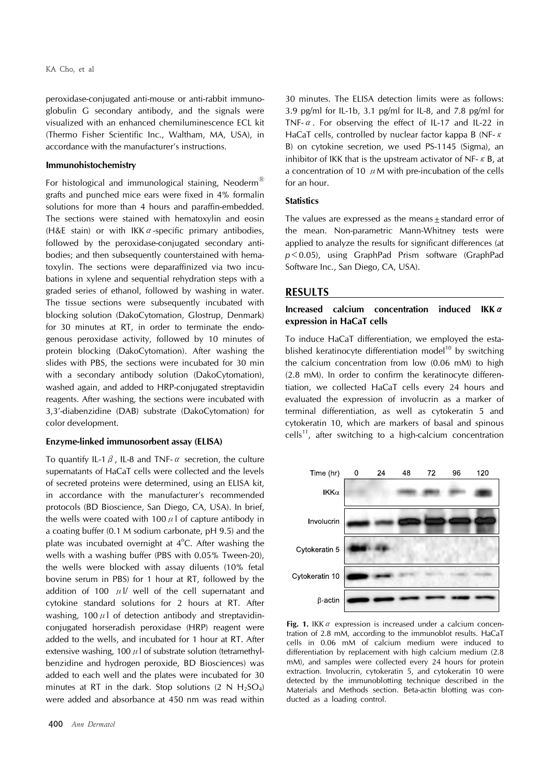peroxidase-conjugated anti-mouse or anti-rabbit immunoglobulin G secondary antibody, and the signals were visualized with an enhanced chemiluminescence ECL kit (Thermo Fisher Scientific Inc., Waltham, MA, USA), in accordance with the manufacturer's instructions.

#### **Immunohistochemistry**

For histological and immunological staining, Neoderm<sup>®</sup> grafts and punched mice ears were fixed in 4% formalin solutions for more than 4 hours and paraffin-embedded. The sections were stained with hematoxylin and eosin (H&E stain) or with IKK  $\alpha$ -specific primary antibodies, followed by the peroxidase-conjugated secondary antibodies; and then subsequently counterstained with hematoxylin. The sections were deparaffinized via two incubations in xylene and sequential rehydration steps with a graded series of ethanol, followed by washing in water. The tissue sections were subsequently incubated with blocking solution (DakoCytomation, Glostrup, Denmark) for 30 minutes at RT, in order to terminate the endogenous peroxidase activity, followed by 10 minutes of protein blocking (DakoCytomation). After washing the slides with PBS, the sections were incubated for 30 min with a secondary antibody solution (DakoCytomation), washed again, and added to HRP-conjugated streptavidin reagents. After washing, the sections were incubated with 3,3'-diabenzidine (DAB) substrate (DakoCytomation) for color development.

### **Enzyme-linked immunosorbent assay (ELISA)**

To quantify IL-1  $\beta$ , IL-8 and TNF- $\alpha$  secretion, the culture supernatants of HaCaT cells were collected and the levels of secreted proteins were determined, using an ELISA kit, in accordance with the manufacturer's recommended protocols (BD Bioscience, San Diego, CA, USA). In brief, the wells were coated with 100  $\mu$  l of capture antibody in a coating buffer (0.1 M sodium carbonate, pH 9.5) and the plate was incubated overnight at  $4^{\circ}$ C. After washing the wells with a washing buffer (PBS with 0.05% Tween-20), the wells were blocked with assay diluents (10% fetal bovine serum in PBS) for 1 hour at RT, followed by the addition of 100  $\mu$  |/ well of the cell supernatant and cytokine standard solutions for 2 hours at RT. After washing, 100  $\mu$  of detection antibody and streptavidinconjugated horseradish peroxidase (HRP) reagent were added to the wells, and incubated for 1 hour at RT. After extensive washing, 100  $\mu$  of substrate solution (tetramethylbenzidine and hydrogen peroxide, BD Biosciences) was added to each well and the plates were incubated for 30 minutes at RT in the dark. Stop solutions  $(2 \text{ N H}_2\text{SO}_4)$ were added and absorbance at 450 nm was read within

30 minutes. The ELISA detection limits were as follows: 3.9 pg/ml for IL-1b, 3.1 pg/ml for IL-8, and 7.8 pg/ml for TNF- $\alpha$ . For observing the effect of IL-17 and IL-22 in HaCaT cells, controlled by nuclear factor kappa B (NF-κ B) on cytokine secretion, we used PS-1145 (Sigma), an inhibitor of IKK that is the upstream activator of NF- $\kappa$  B, at a concentration of 10  $\mu$  M with pre-incubation of the cells for an hour.

# **Statistics**

The values are expressed as the means + standard error of the mean. Non-parametric Mann-Whitney tests were applied to analyze the results for significant differences (at *p*<0.05), using GraphPad Prism software (GraphPad Software Inc., San Diego, CA, USA).

#### **RESULTS**

# **Increased calcium concentration induced IKK**α **expression in HaCaT cells**

To induce HaCaT differentiation, we employed the established keratinocyte differentiation model<sup>10</sup> by switching the calcium concentration from low (0.06 mM) to high (2.8 mM). In order to confirm the keratinocyte differentiation, we collected HaCaT cells every 24 hours and evaluated the expression of involucrin as a marker of terminal differentiation, as well as cytokeratin 5 and cytokeratin 10, which are markers of basal and spinous  $cells<sup>11</sup>$ , after switching to a high-calcium concentration



**Fig. 1.** IKK *α* expression is increased under a calcium concentration of 2.8 mM, according to the immunoblot results. HaCaT cells in 0.06 mM of calcium medium were induced to differentiation by replacement with high calcium medium (2.8 mM), and samples were collected every 24 hours for protein extraction. Involucrin, cytokeratin 5, and cytokeratin 10 were detected by the immunoblotting technique described in the Materials and Methods section. Beta-actin blotting was conducted as a loading control.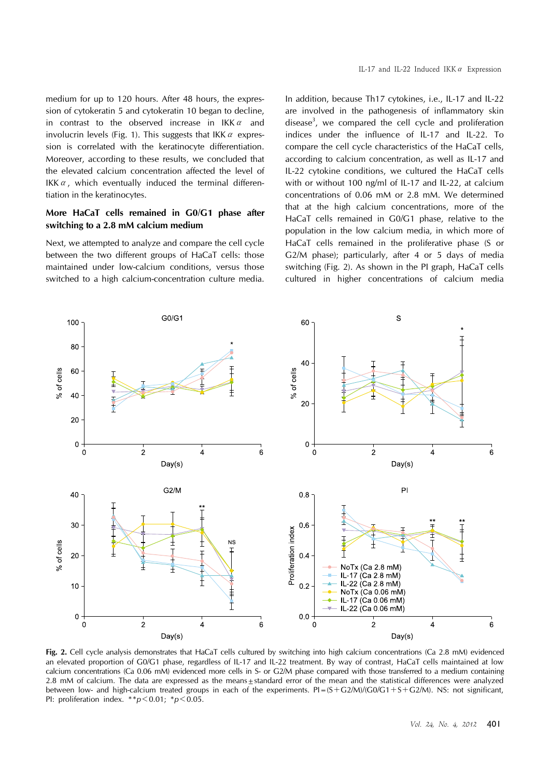medium for up to 120 hours. After 48 hours, the expression of cytokeratin 5 and cytokeratin 10 began to decline, in contrast to the observed increase in  $IKK \alpha$  and involucrin levels (Fig. 1). This suggests that IKK  $\alpha$  expression is correlated with the keratinocyte differentiation. Moreover, according to these results, we concluded that the elevated calcium concentration affected the level of IKK $\alpha$ , which eventually induced the terminal differentiation in the keratinocytes.

# **More HaCaT cells remained in G0/G1 phase after switching to a 2.8 mM calcium medium**

Next, we attempted to analyze and compare the cell cycle between the two different groups of HaCaT cells: those maintained under low-calcium conditions, versus those switched to a high calcium-concentration culture media.

IL-17 and IL-22 Induced IKK $\alpha$  Expression

In addition, because Th17 cytokines, i.e., IL-17 and IL-22 are involved in the pathogenesis of inflammatory skin disease<sup>3</sup>, we compared the cell cycle and proliferation indices under the influence of IL-17 and IL-22. To compare the cell cycle characteristics of the HaCaT cells, according to calcium concentration, as well as IL-17 and IL-22 cytokine conditions, we cultured the HaCaT cells with or without 100 ng/ml of IL-17 and IL-22, at calcium concentrations of 0.06 mM or 2.8 mM. We determined that at the high calcium concentrations, more of the HaCaT cells remained in G0/G1 phase, relative to the population in the low calcium media, in which more of HaCaT cells remained in the proliferative phase (S or G2/M phase); particularly, after 4 or 5 days of media switching (Fig. 2). As shown in the PI graph, HaCaT cells cultured in higher concentrations of calcium media



**Fig. 2.** Cell cycle analysis demonstrates that HaCaT cells cultured by switching into high calcium concentrations (Ca 2.8 mM) evidenced an elevated proportion of G0/G1 phase, regardless of IL-17 and IL-22 treatment. By way of contrast, HaCaT cells maintained at low calcium concentrations (Ca 0.06 mM) evidenced more cells in S- or G2/M phase compared with those transferred to a medium containing 2.8 mM of calcium. The data are expressed as the means $\pm$ standard error of the mean and the statistical differences were analyzed between low- and high-calcium treated groups in each of the experiments.  $PI = (S + G2/M)/(G0/G1 + S + G2/M)$ . NS: not significant, PI: proliferation index. \*\**p*<0.01; \**p*<0.05.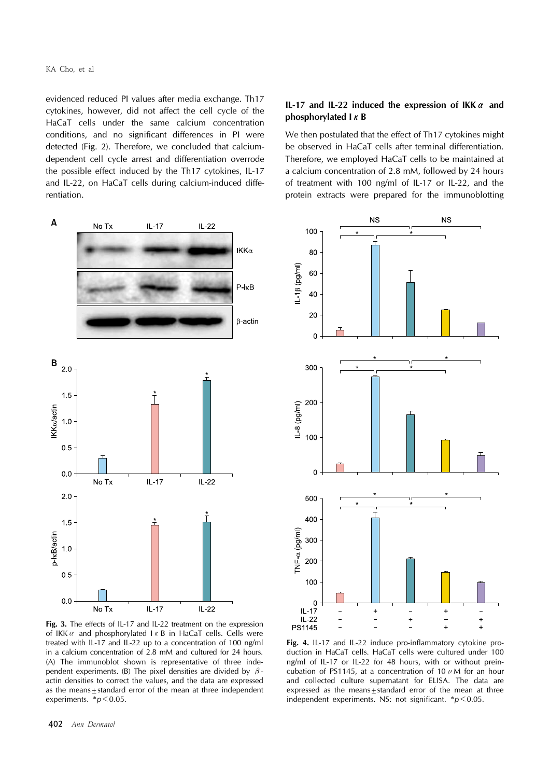evidenced reduced PI values after media exchange. Th17 cytokines, however, did not affect the cell cycle of the HaCaT cells under the same calcium concentration conditions, and no significant differences in PI were detected (Fig. 2). Therefore, we concluded that calciumdependent cell cycle arrest and differentiation overrode the possible effect induced by the Th17 cytokines, IL-17 and IL-22, on HaCaT cells during calcium-induced differentiation.

# **IL-17 and IL-22 induced the expression of IKK**α **and phosphorylated I**κ**B**

We then postulated that the effect of Th17 cytokines might be observed in HaCaT cells after terminal differentiation. Therefore, we employed HaCaT cells to be maintained at a calcium concentration of 2.8 mM, followed by 24 hours of treatment with 100 ng/ml of IL-17 or IL-22, and the protein extracts were prepared for the immunoblotting



Fig. 3. The effects of IL-17 and IL-22 treatment on the expression of IKK  $\alpha$  and phosphorylated  $\alpha$  B in HaCaT cells. Cells were treated with IL-17 and IL-22 up to a concentration of 100 ng/ml in a calcium concentration of 2.8 mM and cultured for 24 hours. (A) The immunoblot shown is representative of three independent experiments. (B) The pixel densities are divided by  $\beta$ actin densities to correct the values, and the data are expressed as the means+standard error of the mean at three independent experiments. \**p* < 0.05.



**Fig. 4.** IL-17 and IL-22 induce pro-inflammatory cytokine production in HaCaT cells. HaCaT cells were cultured under 100 ng/ml of IL-17 or IL-22 for 48 hours, with or without preincubation of PS1145, at a concentration of 10  $\mu$ M for an hour and collected culture supernatant for ELISA. The data are expressed as the means+standard error of the mean at three independent experiments. NS: not significant. \**p*<0.05.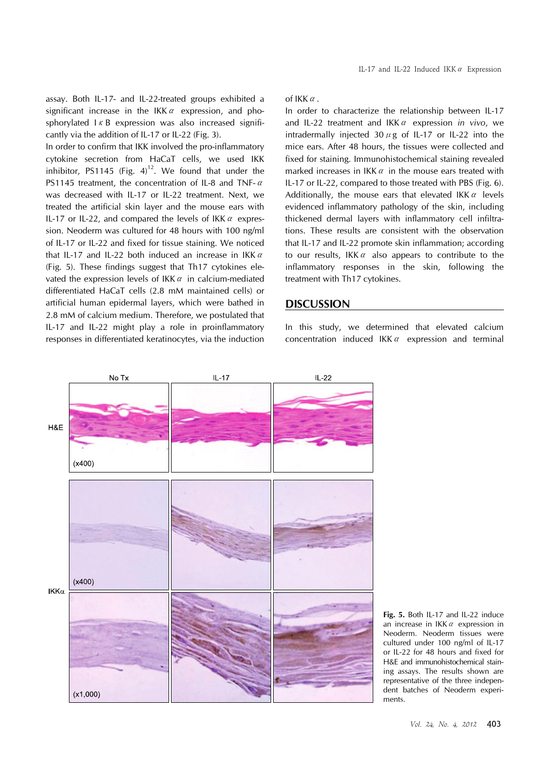assay. Both IL-17- and IL-22-treated groups exhibited a significant increase in the IKK $\alpha$  expression, and phosphorylated  $1 \kappa$  B expression was also increased significantly via the addition of IL-17 or IL-22 (Fig. 3).

In order to confirm that IKK involved the pro-inflammatory cytokine secretion from HaCaT cells, we used IKK inhibitor, PS1145 (Fig.  $4^{12}$ . We found that under the PS1145 treatment, the concentration of IL-8 and TNF-α was decreased with IL-17 or IL-22 treatment. Next, we treated the artificial skin layer and the mouse ears with IL-17 or IL-22, and compared the levels of IKK  $\alpha$  expression. Neoderm was cultured for 48 hours with 100 ng/ml of IL-17 or IL-22 and fixed for tissue staining. We noticed that IL-17 and IL-22 both induced an increase in IKK $\alpha$ (Fig. 5). These findings suggest that Th17 cytokines elevated the expression levels of IKK $\alpha$  in calcium-mediated differentiated HaCaT cells (2.8 mM maintained cells) or artificial human epidermal layers, which were bathed in 2.8 mM of calcium medium. Therefore, we postulated that IL-17 and IL-22 might play a role in proinflammatory responses in differentiated keratinocytes, via the induction

of IKK $\alpha$ 

In order to characterize the relationship between IL-17 and IL-22 treatment and IKKα expression *in vivo*, we intradermally injected 30  $\mu$  g of IL-17 or IL-22 into the mice ears. After 48 hours, the tissues were collected and fixed for staining. Immunohistochemical staining revealed marked increases in IKK  $\alpha$  in the mouse ears treated with IL-17 or IL-22, compared to those treated with PBS (Fig. 6). Additionally, the mouse ears that elevated IKK  $\alpha$  levels evidenced inflammatory pathology of the skin, including thickened dermal layers with inflammatory cell infiltrations. These results are consistent with the observation that IL-17 and IL-22 promote skin inflammation; according to our results, IKK $\alpha$  also appears to contribute to the inflammatory responses in the skin, following the treatment with Th17 cytokines.

# **DISCUSSION**

In this study, we determined that elevated calcium concentration induced IKK $\alpha$  expression and terminal



**Fig. 5.** Both IL-17 and IL-22 induce an increase in IKK $\alpha$  expression in Neoderm. Neoderm tissues were cultured under 100 ng/ml of IL-17 or IL-22 for 48 hours and fixed for H&E and immunohistochemical staining assays. The results shown are representative of the three independent batches of Neoderm experiments.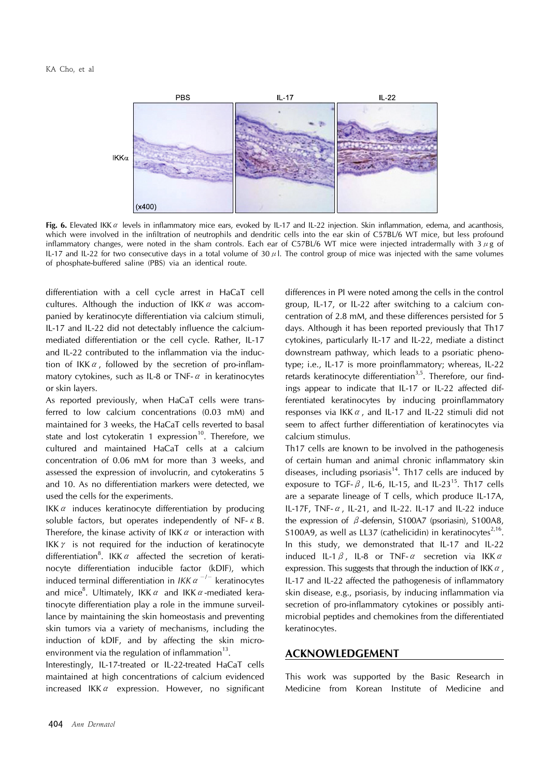

**Fig. 6.** Elevated IKKα levels in inflammatory mice ears, evoked by IL-17 and IL-22 injection. Skin inflammation, edema, and acanthosis, which were involved in the infiltration of neutrophils and dendritic cells into the ear skin of C57BL/6 WT mice, but less profound inflammatory changes, were noted in the sham controls. Each ear of C57BL/6 WT mice were injected intradermally with  $3 \mu$ g of IL-17 and IL-22 for two consecutive days in a total volume of  $30 \mu$ . The control group of mice was injected with the same volumes of phosphate-buffered saline (PBS) via an identical route.

differentiation with a cell cycle arrest in HaCaT cell cultures. Although the induction of IKK $\alpha$  was accompanied by keratinocyte differentiation via calcium stimuli, IL-17 and IL-22 did not detectably influence the calciummediated differentiation or the cell cycle. Rather, IL-17 and IL-22 contributed to the inflammation via the induction of IKK $\alpha$ , followed by the secretion of pro-inflammatory cytokines, such as IL-8 or TNF- $\alpha$  in keratinocytes or skin layers.

As reported previously, when HaCaT cells were transferred to low calcium concentrations (0.03 mM) and maintained for 3 weeks, the HaCaT cells reverted to basal state and lost cytokeratin 1 expression<sup>10</sup>. Therefore, we cultured and maintained HaCaT cells at a calcium concentration of 0.06 mM for more than 3 weeks, and assessed the expression of involucrin, and cytokeratins 5 and 10. As no differentiation markers were detected, we used the cells for the experiments.

IKK $\alpha$  induces keratinocyte differentiation by producing soluble factors, but operates independently of NF- $\kappa$  B. Therefore, the kinase activity of IKK  $\alpha$  or interaction with IKK $\gamma$  is not required for the induction of keratinocyte differentiation<sup>8</sup>. IKK  $\alpha$  affected the secretion of keratinocyte differentiation inducible factor (kDIF), which induced terminal differentiation in *IKK*α<sup>−</sup>/<sup>−</sup> keratinocytes and mice<sup>8</sup>. Ultimately, IKK  $\alpha$  and IKK  $\alpha$ -mediated keratinocyte differentiation play a role in the immune surveillance by maintaining the skin homeostasis and preventing skin tumors via a variety of mechanisms, including the induction of kDIF, and by affecting the skin microenvironment via the regulation of inflammation $^{13}$ .

Interestingly, IL-17-treated or IL-22-treated HaCaT cells maintained at high concentrations of calcium evidenced increased IKK $\alpha$  expression. However, no significant differences in PI were noted among the cells in the control group, IL-17, or IL-22 after switching to a calcium concentration of 2.8 mM, and these differences persisted for 5 days. Although it has been reported previously that Th17 cytokines, particularly IL-17 and IL-22, mediate a distinct downstream pathway, which leads to a psoriatic phenotype; i.e., IL-17 is more proinflammatory; whereas, IL-22 retards keratinocyte differentiation<sup>3,5</sup>. Therefore, our findings appear to indicate that IL-17 or IL-22 affected differentiated keratinocytes by inducing proinflammatory responses via IKK $\alpha$ , and IL-17 and IL-22 stimuli did not seem to affect further differentiation of keratinocytes via calcium stimulus.

Th17 cells are known to be involved in the pathogenesis of certain human and animal chronic inflammatory skin diseases, including psoriasis<sup>14</sup>. Th17 cells are induced by exposure to TGF- $\beta$ , IL-6, IL-15, and IL-23<sup>15</sup>. Th17 cells are a separate lineage of T cells, which produce IL-17A, IL-17F, TNF- $\alpha$ , IL-21, and IL-22. IL-17 and IL-22 induce the expression of β-defensin, S100A7 (psoriasin), S100A8, S100A9, as well as LL37 (cathelicidin) in keratinocytes<sup>2,16</sup>. In this study, we demonstrated that IL-17 and IL-22 induced IL-1  $\beta$ , IL-8 or TNF- $\alpha$  secretion via IKK  $\alpha$ expression. This suggests that through the induction of IKK  $\alpha$ , IL-17 and IL-22 affected the pathogenesis of inflammatory skin disease, e.g., psoriasis, by inducing inflammation via secretion of pro-inflammatory cytokines or possibly antimicrobial peptides and chemokines from the differentiated keratinocytes.

# **ACKNOWLEDGEMENT**

This work was supported by the Basic Research in Medicine from Korean Institute of Medicine and